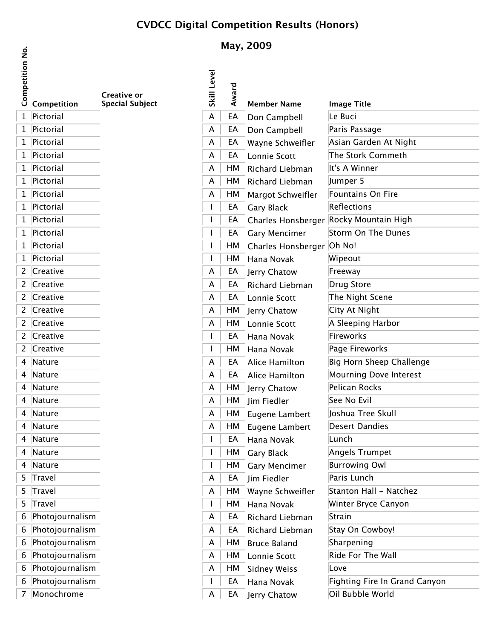## **CVDCC Digital Competition Results (Honors)**

## tion No. **Competition No.**

| Competit       | Competition     | Creative or<br><b>Special Subject</b> |
|----------------|-----------------|---------------------------------------|
| $\mathbf 1$    | Pictorial       |                                       |
| 1              | Pictorial       |                                       |
| 1              | Pictorial       |                                       |
| $\mathbf{1}$   | Pictorial       |                                       |
| 1              | Pictorial       |                                       |
| $\mathbf{1}$   | Pictorial       |                                       |
| $\mathbf{1}$   | Pictorial       |                                       |
| 1              | Pictorial       |                                       |
| $\mathbf{1}$   | Pictorial       |                                       |
| $\mathbf{1}$   | Pictorial       |                                       |
| 1              | Pictorial       |                                       |
| $\mathbf{1}$   | Pictorial       |                                       |
| $\overline{c}$ | Creative        |                                       |
| $\overline{c}$ | Creative        |                                       |
| $\overline{c}$ | Creative        |                                       |
| $\overline{c}$ | Creative        |                                       |
| $\overline{c}$ | Creative        |                                       |
| $\overline{c}$ | Creative        |                                       |
| $\overline{c}$ | Creative        |                                       |
| 4              | Nature          |                                       |
| 4              | Nature          |                                       |
| 4              | Nature          |                                       |
| 4              | Nature          |                                       |
| 4              | Nature          |                                       |
| 4              | Nature          |                                       |
| 4              | Nature          |                                       |
| 4              | Nature          |                                       |
| 4              | Nature          |                                       |
| 5              | <b>Travel</b>   |                                       |
| 5              | Travel          |                                       |
| 5              | Travel          |                                       |
| 6              | Photojournalism |                                       |
| 6              | Photojournalism |                                       |
| 6              | Photojournalism |                                       |
| 6              | Photojournalism |                                       |
| 6              | Photojournalism |                                       |
| 6              | Photojournalism |                                       |

 $\sqrt{7}$  Monochrome

## **May, 2009**

| Competitic |                   | <b>Creative or</b>     | Level        | Award |                           |                                        |
|------------|-------------------|------------------------|--------------|-------|---------------------------|----------------------------------------|
|            | Competition       | <b>Special Subject</b> | <b>Skill</b> |       | <b>Member Name</b>        | <b>Image Title</b>                     |
|            | 1 Pictorial       |                        | A            | EA    | Don Campbell              | Le Buci                                |
|            | 1 Pictorial       |                        | A            | EA    | Don Campbell              | Paris Passage                          |
|            | 1 Pictorial       |                        | A            | EA    | Wayne Schweifler          | Asian Garden At Night                  |
|            | 1 Pictorial       |                        | A            | EA    | Lonnie Scott              | The Stork Commeth                      |
|            | 1 Pictorial       |                        | A            | HM    | Richard Liebman           | It's A Winner                          |
|            | 1 Pictorial       |                        | A            | HМ    | Richard Liebman           | Jumper 5                               |
|            | 1 Pictorial       |                        | A            | НM    | Margot Schweifler         | Fountains On Fire                      |
|            | 1 Pictorial       |                        |              | EA    | <b>Gary Black</b>         | Reflections                            |
|            | 1 Pictorial       |                        |              | EA    |                           | Charles Honsberger Rocky Mountain High |
|            | 1 Pictorial       |                        |              | EA    | <b>Gary Mencimer</b>      | Storm On The Dunes                     |
|            | 1 Pictorial       |                        |              | HМ    | Charles Honsberger Oh No! |                                        |
|            | 1 Pictorial       |                        |              | HМ    | Hana Novak                | Wipeout                                |
|            | 2 Creative        |                        | A            | EA    | Jerry Chatow              | Freeway                                |
|            | 2 Creative        |                        | A            | EA    | Richard Liebman           | Drug Store                             |
|            | 2 Creative        |                        | A            | EA    | Lonnie Scott              | The Night Scene                        |
|            | 2 Creative        |                        | A            | HМ    | Jerry Chatow              | City At Night                          |
|            | 2 Creative        |                        | A            | HM    | Lonnie Scott              | A Sleeping Harbor                      |
|            | 2 Creative        |                        |              | EA    | Hana Novak                | Fireworks                              |
|            | 2 Creative        |                        |              | HМ    | Hana Novak                | Page Fireworks                         |
|            | 4 Nature          |                        | A            | EA    | Alice Hamilton            | Big Horn Sheep Challenge               |
|            | 4 Nature          |                        | A            | EA    | Alice Hamilton            | Mourning Dove Interest                 |
|            | 4 Nature          |                        | A            | HМ    | Jerry Chatow              | Pelican Rocks                          |
|            | 4 Nature          |                        | A            | НM    | Jim Fiedler               | See No Evil                            |
|            | 4 Nature          |                        | A            | HМ    | Eugene Lambert            | Joshua Tree Skull                      |
|            | 4 Nature          |                        | A            | HМ    | Eugene Lambert            | <b>Desert Dandies</b>                  |
|            | 4 Nature          |                        |              | EA    | Hana Novak                | Lunch                                  |
|            | 4 Nature          |                        |              | HM    | Gary Black                | Angels Trumpet                         |
|            | 4 Nature          |                        |              | HМ    | <b>Gary Mencimer</b>      | <b>Burrowing Owl</b>                   |
|            | 5 Travel          |                        | A            | EA    | Jim Fiedler               | Paris Lunch                            |
|            | 5 Travel          |                        | A            | HМ    | Wayne Schweifler          | Stanton Hall - Natchez                 |
|            | 5 Travel          |                        |              | HМ    | Hana Novak                | Winter Bryce Canyon                    |
|            | 6 Photojournalism |                        | A            | EA    | Richard Liebman           | Strain                                 |
|            | 6 Photojournalism |                        | A            | EA    | Richard Liebman           | Stay On Cowboy!                        |
|            | 6 Photojournalism |                        | A            | HМ    | <b>Bruce Baland</b>       | Sharpening                             |
|            | 6 Photojournalism |                        | A            | НM    | Lonnie Scott              | Ride For The Wall                      |
|            | 6 Photojournalism |                        | A            | HМ    | <b>Sidney Weiss</b>       | Love                                   |
|            | 6 Photojournalism |                        |              | EA    | Hana Novak                | Fighting Fire In Grand Canyon          |
|            | 7 Monochrome      |                        | A            | EA    | Jerry Chatow              | Oil Bubble World                       |